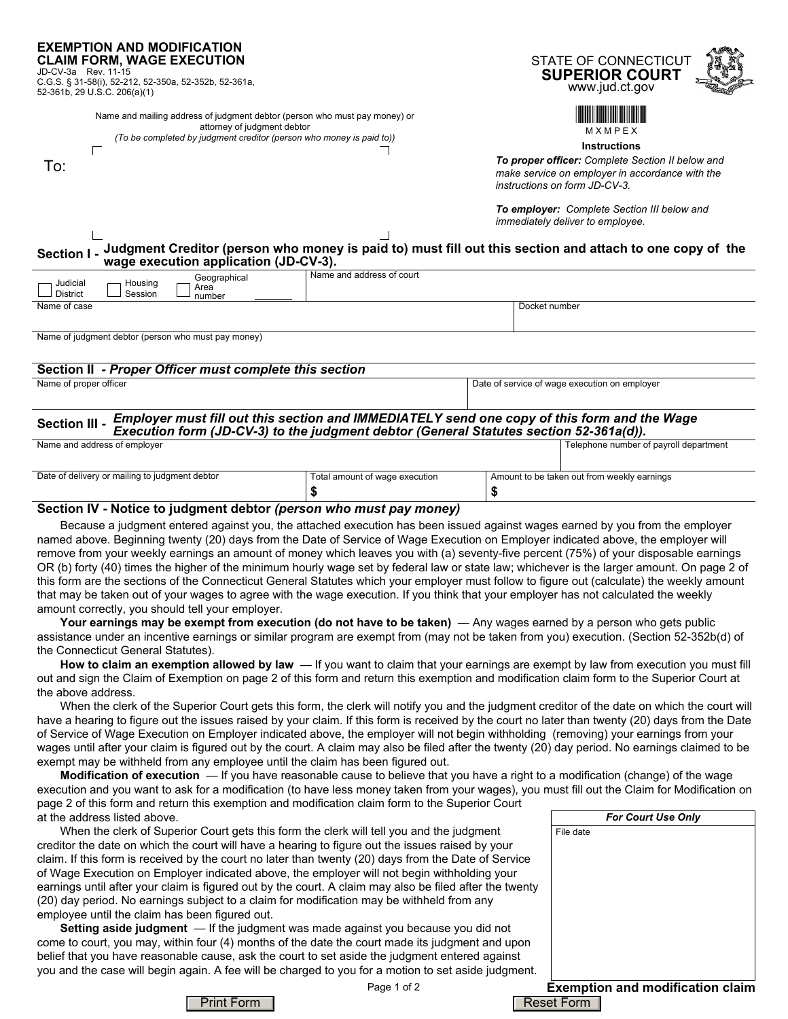#### **EXEMPTION AND MODIFICATION CLAIM FORM, WAGE EXECUTION**

JD-CV-3a Rev. 11-15 C.G.S. § 31-58(i), 52-212, 52-350a, 52-352b, 52-361a, 52-361b, 29 U.S.C. 206(a)(1)

> Name and mailing address of judgment debtor (person who must pay money) or attorney of judgment debtor *(To be completed by judgment creditor (person who money is paid to))*

|  | o be completed by judgment creditor (person who money : |  |  |
|--|---------------------------------------------------------|--|--|
|  |                                                         |  |  |

To:

Г





**Instructions**

*To proper officer: Complete Section II below and make service on employer in accordance with the instructions on form JD-CV-3.*

*To employer: Complete Section III below and immediately deliver to employee.*

#### **Judgment Creditor (person who money is paid to) must fill out this section and attach to one copy of the wage execution application (JD-CV-3). Section I -**

| Judicial<br><b>District</b> | Housing<br>Session | Geographical<br>Area<br>number | Name and address of court |               |
|-----------------------------|--------------------|--------------------------------|---------------------------|---------------|
| Name of case                |                    |                                |                           | Docket number |
|                             |                    |                                |                           |               |

Name of judgment debtor (person who must pay money)

## **Section II** *- Proper Officer must complete this section*

Name of proper officer Date of service of wage execution on employer Date of service of wage execution on employer

#### *Employer must fill out this section and IMMEDIATELY send one copy of this form and the Wage* **Execution III - Execution form (JD-CV-3) to the judgment debtor (General Statutes section 52-361a(d)).**<br>**Execution form (JD-CV-3) to the judgment debtor (General Statutes section 52-361a(d)).**<br>Interhange number of the sta Telephone number of payroll department

| <b>Native and door of cripic, or</b>           |                                | releptions namber of payron apparation.     |
|------------------------------------------------|--------------------------------|---------------------------------------------|
|                                                |                                |                                             |
| Date of delivery or mailing to judgment debtor | Total amount of wage execution | Amount to be taken out from weekly earnings |
|                                                |                                |                                             |

### **Section IV - Notice to judgment debtor** *(person who must pay money)*

Because a judgment entered against you, the attached execution has been issued against wages earned by you from the employer named above. Beginning twenty (20) days from the Date of Service of Wage Execution on Employer indicated above, the employer will remove from your weekly earnings an amount of money which leaves you with (a) seventy-five percent (75%) of your disposable earnings OR (b) forty (40) times the higher of the minimum hourly wage set by federal law or state law; whichever is the larger amount. On page 2 of this form are the sections of the Connecticut General Statutes which your employer must follow to figure out (calculate) the weekly amount that may be taken out of your wages to agree with the wage execution. If you think that your employer has not calculated the weekly amount correctly, you should tell your employer.

**Your earnings may be exempt from execution (do not have to be taken)** — Any wages earned by a person who gets public assistance under an incentive earnings or similar program are exempt from (may not be taken from you) execution. (Section 52-352b(d) of the Connecticut General Statutes).

**How to claim an exemption allowed by law** — If you want to claim that your earnings are exempt by law from execution you must fill out and sign the Claim of Exemption on page 2 of this form and return this exemption and modification claim form to the Superior Court at the above address.

When the clerk of the Superior Court gets this form, the clerk will notify you and the judgment creditor of the date on which the court will have a hearing to figure out the issues raised by your claim. If this form is received by the court no later than twenty (20) days from the Date of Service of Wage Execution on Employer indicated above, the employer will not begin withholding (removing) your earnings from your wages until after your claim is figured out by the court. A claim may also be filed after the twenty (20) day period. No earnings claimed to be exempt may be withheld from any employee until the claim has been figured out.

**Modification of execution** — If you have reasonable cause to believe that you have a right to a modification (change) of the wage execution and you want to ask for a modification (to have less money taken from your wages), you must fill out the Claim for Modification on page 2 of this form and return this exemption and modification claim form to the Superior Court at the address listed above.

When the clerk of Superior Court gets this form the clerk will tell you and the judgment creditor the date on which the court will have a hearing to figure out the issues raised by your claim. If this form is received by the court no later than twenty (20) days from the Date of Service of Wage Execution on Employer indicated above, the employer will not begin withholding your earnings until after your claim is figured out by the court. A claim may also be filed after the twenty (20) day period. No earnings subject to a claim for modification may be withheld from any employee until the claim has been figured out.

**Setting aside judgment** — If the judgment was made against you because you did not come to court, you may, within four (4) months of the date the court made its judgment and upon belief that you have reasonable cause, ask the court to set aside the judgment entered against you and the case will begin again. A fee will be charged to you for a motion to set aside judgment.

Page 1 of 2 **Exemption and modification claim** *For Court Use Only* File date

Print Form | Reset Form | Reset Form | Reset Form | Reset Form | Reset Form | Reset Form | Reset Form | Reset Form |  $R$